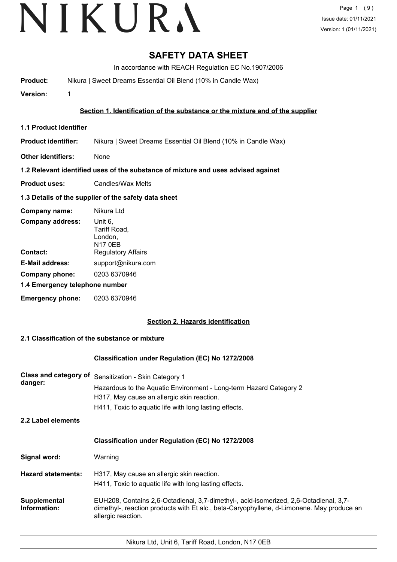# **SAFETY DATA SHEET**

In accordance with REACH Regulation EC No.1907/2006

**Product:** Nikura | Sweet Dreams Essential Oil Blend (10% in Candle Wax)

**Version:** 1

### **Section 1. Identification of the substance or the mixture and of the supplier**

- **1.1 Product Identifier**
- **Product identifier:** Nikura | Sweet Dreams Essential Oil Blend (10% in Candle Wax)
- **Other identifiers:** None

### **1.2 Relevant identified uses of the substance of mixture and uses advised against**

**Product uses:** Candles/Wax Melts

### **1.3 Details of the supplier of the safety data sheet**

| Company name:                  | Nikura Ltd                                           |
|--------------------------------|------------------------------------------------------|
| <b>Company address:</b>        | Unit 6.<br>Tariff Road,<br>London,<br><b>N17 0EB</b> |
| Contact:                       | <b>Regulatory Affairs</b>                            |
| <b>E-Mail address:</b>         | support@nikura.com                                   |
| Company phone:                 | 0203 6370946                                         |
| 1.4 Emergency telephone number |                                                      |
| <b>Emergency phone:</b>        | 0203 6370946                                         |

### **Section 2. Hazards identification**

### **2.1 Classification of the substance or mixture**

### **Classification under Regulation (EC) No 1272/2008**

| Class and category of<br>danger:<br>2.2 Label elements | Sensitization - Skin Category 1<br>Hazardous to the Aquatic Environment - Long-term Hazard Category 2<br>H317, May cause an allergic skin reaction.<br>H411, Toxic to aquatic life with long lasting effects. |
|--------------------------------------------------------|---------------------------------------------------------------------------------------------------------------------------------------------------------------------------------------------------------------|
|                                                        | <b>Classification under Regulation (EC) No 1272/2008</b>                                                                                                                                                      |
| Signal word:                                           | Warning                                                                                                                                                                                                       |
| <b>Hazard statements:</b>                              | H317, May cause an allergic skin reaction.<br>H411, Toxic to aquatic life with long lasting effects.                                                                                                          |
| Supplemental<br>Information:                           | EUH208, Contains 2,6-Octadienal, 3,7-dimethyl-, acid-isomerized, 2,6-Octadienal, 3,7-<br>dimethyl-, reaction products with Et alc., beta-Caryophyllene, d-Limonene. May produce an<br>allergic reaction.      |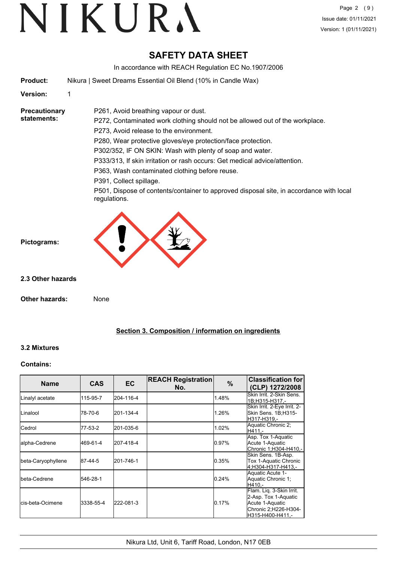# VIKURA

# **SAFETY DATA SHEET**

In accordance with REACH Regulation EC No.1907/2006

**Product:** Nikura | Sweet Dreams Essential Oil Blend (10% in Candle Wax)

**Version:** 1

**Precautionary statements:**

P272, Contaminated work clothing should not be allowed out of the workplace.

P273, Avoid release to the environment.

P261, Avoid breathing vapour or dust.

P280, Wear protective gloves/eye protection/face protection.

P302/352, IF ON SKIN: Wash with plenty of soap and water.

P333/313, If skin irritation or rash occurs: Get medical advice/attention.

P363, Wash contaminated clothing before reuse.

P391, Collect spillage.

P501, Dispose of contents/container to approved disposal site, in accordance with local regulations.



**2.3 Other hazards**

**Pictograms:**

**Other hazards:** None

# **Section 3. Composition / information on ingredients**

# **3.2 Mixtures**

### **Contains:**

| <b>Name</b>               | <b>CAS</b> | EC.       | <b>REACH Registration</b><br>No. | %     | <b>Classification for</b><br>(CLP) 1272/2008                                                                    |
|---------------------------|------------|-----------|----------------------------------|-------|-----------------------------------------------------------------------------------------------------------------|
| Linalyl acetate           | 115-95-7   | 204-116-4 |                                  | 1.48% | Skin Irrit. 2-Skin Sens.<br>1B;H315-H317,-                                                                      |
| <b>Linalool</b>           | 78-70-6    | 201-134-4 |                                  | 1.26% | Skin Irrit. 2-Eye Irrit. 2-<br>Skin Sens. 1B:H315-<br>H317-H319.-                                               |
| <b>Cedrol</b>             | 77-53-2    | 201-035-6 |                                  | 1.02% | Aquatic Chronic 2;<br>H411.-                                                                                    |
| alpha-Cedrene             | 469-61-4   | 207-418-4 |                                  | 0.97% | Asp. Tox 1-Aquatic<br>Acute 1-Aquatic<br>Chronic 1:H304-H410.-                                                  |
| beta-Caryophyllene        | 87-44-5    | 201-746-1 |                                  | 0.35% | Skin Sens. 1B-Asp.<br>Tox 1-Aquatic Chronic<br>4:H304-H317-H413.-                                               |
| <b>I</b> beta-Cedrene     | 546-28-1   |           |                                  | 0.24% | Aquatic Acute 1-<br>Aquatic Chronic 1;<br>H410.-                                                                |
| <b>I</b> cis-beta-Ocimene | 3338-55-4  | 222-081-3 |                                  | 0.17% | Flam. Lig. 3-Skin Irrit.<br>2-Asp. Tox 1-Aquatic<br>Acute 1-Aquatic<br>Chronic 2;H226-H304-<br>H315-H400-H411.- |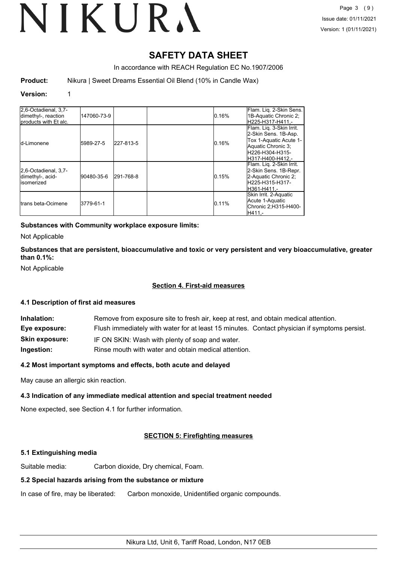# **SAFETY DATA SHEET**

In accordance with REACH Regulation EC No.1907/2006

**Product:** Nikura | Sweet Dreams Essential Oil Blend (10% in Candle Wax)

#### **Version:** 1

| 2,6-Octadienal, 3,7-<br>dimethyl-, reaction<br>Iproducts with Et alc. | 147060-73-9 |           | 0.16% | Flam. Liq. 2-Skin Sens.<br>1B-Aquatic Chronic 2:<br>H225-H317-H411,-                                                                    |
|-----------------------------------------------------------------------|-------------|-----------|-------|-----------------------------------------------------------------------------------------------------------------------------------------|
| Id-Limonene                                                           | 5989-27-5   | 227-813-5 | 0.16% | Flam. Liq. 3-Skin Irrit.<br>2-Skin Sens. 1B-Asp.<br>Tox 1-Aquatic Acute 1-<br>Aquatic Chronic 3;<br>H226-H304-H315-<br>H317-H400-H412.- |
| 2,6-Octadienal, 3,7-<br>dimethyl-, acid-<br>lisomerized               | 90480-35-6  | 291-768-8 | 0.15% | Flam. Lig. 2-Skin Irrit.<br>2-Skin Sens. 1B-Repr.<br>2-Aquatic Chronic 2:<br>lH225-H315-H317-<br>H361-H411 -                            |
| Itrans beta-Ocimene                                                   | 3779-61-1   |           | 0.11% | Skin Irrit. 2-Aquatic<br>Acute 1-Aquatic<br>Chronic 2;H315-H400-<br>H411.-                                                              |

### **Substances with Community workplace exposure limits:**

Not Applicable

### **Substances that are persistent, bioaccumulative and toxic or very persistent and very bioaccumulative, greater than 0.1%:**

Not Applicable

# **Section 4. First-aid measures**

### **4.1 Description of first aid measures**

| Inhalation:           | Remove from exposure site to fresh air, keep at rest, and obtain medical attention.          |
|-----------------------|----------------------------------------------------------------------------------------------|
| Eye exposure:         | Flush immediately with water for at least 15 minutes. Contact physician if symptoms persist. |
| <b>Skin exposure:</b> | IF ON SKIN: Wash with plenty of soap and water.                                              |
| Ingestion:            | Rinse mouth with water and obtain medical attention.                                         |

# **4.2 Most important symptoms and effects, both acute and delayed**

May cause an allergic skin reaction.

# **4.3 Indication of any immediate medical attention and special treatment needed**

None expected, see Section 4.1 for further information.

# **SECTION 5: Firefighting measures**

### **5.1 Extinguishing media**

Suitable media: Carbon dioxide, Dry chemical, Foam.

# **5.2 Special hazards arising from the substance or mixture**

In case of fire, may be liberated: Carbon monoxide, Unidentified organic compounds.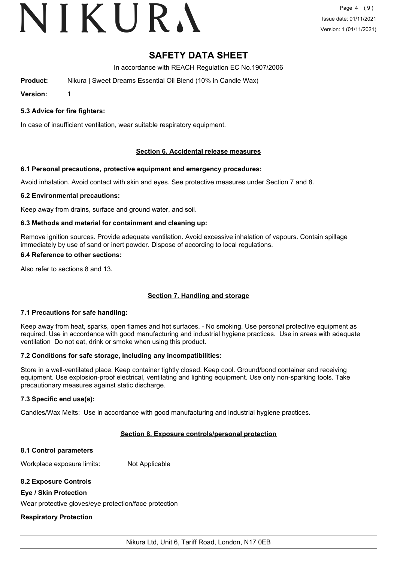# VIKURA

# **SAFETY DATA SHEET**

In accordance with REACH Regulation EC No.1907/2006

**Product:** Nikura | Sweet Dreams Essential Oil Blend (10% in Candle Wax)

**Version:** 1

# **5.3 Advice for fire fighters:**

In case of insufficient ventilation, wear suitable respiratory equipment.

# **Section 6. Accidental release measures**

# **6.1 Personal precautions, protective equipment and emergency procedures:**

Avoid inhalation. Avoid contact with skin and eyes. See protective measures under Section 7 and 8.

# **6.2 Environmental precautions:**

Keep away from drains, surface and ground water, and soil.

# **6.3 Methods and material for containment and cleaning up:**

Remove ignition sources. Provide adequate ventilation. Avoid excessive inhalation of vapours. Contain spillage immediately by use of sand or inert powder. Dispose of according to local regulations.

# **6.4 Reference to other sections:**

Also refer to sections 8 and 13.

# **Section 7. Handling and storage**

# **7.1 Precautions for safe handling:**

Keep away from heat, sparks, open flames and hot surfaces. - No smoking. Use personal protective equipment as required. Use in accordance with good manufacturing and industrial hygiene practices. Use in areas with adequate ventilation Do not eat, drink or smoke when using this product.

# **7.2 Conditions for safe storage, including any incompatibilities:**

Store in a well-ventilated place. Keep container tightly closed. Keep cool. Ground/bond container and receiving equipment. Use explosion-proof electrical, ventilating and lighting equipment. Use only non-sparking tools. Take precautionary measures against static discharge.

# **7.3 Specific end use(s):**

Candles/Wax Melts: Use in accordance with good manufacturing and industrial hygiene practices.

# **Section 8. Exposure controls/personal protection**

# **8.1 Control parameters**

Workplace exposure limits: Not Applicable

# **8.2 Exposure Controls**

# **Eye / Skin Protection**

Wear protective gloves/eye protection/face protection

# **Respiratory Protection**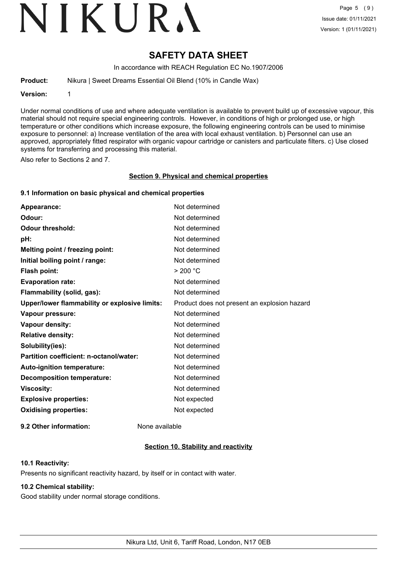# VIKURA

# **SAFETY DATA SHEET**

In accordance with REACH Regulation EC No.1907/2006

**Product:** Nikura | Sweet Dreams Essential Oil Blend (10% in Candle Wax)

**Version:** 1

Under normal conditions of use and where adequate ventilation is available to prevent build up of excessive vapour, this material should not require special engineering controls. However, in conditions of high or prolonged use, or high temperature or other conditions which increase exposure, the following engineering controls can be used to minimise exposure to personnel: a) Increase ventilation of the area with local exhaust ventilation. b) Personnel can use an approved, appropriately fitted respirator with organic vapour cartridge or canisters and particulate filters. c) Use closed systems for transferring and processing this material.

Also refer to Sections 2 and 7.

### **Section 9. Physical and chemical properties**

### **9.1 Information on basic physical and chemical properties**

| Appearance:                                   | Not determined                               |
|-----------------------------------------------|----------------------------------------------|
| Odour:                                        | Not determined                               |
| <b>Odour threshold:</b>                       | Not determined                               |
| pH:                                           | Not determined                               |
| Melting point / freezing point:               | Not determined                               |
| Initial boiling point / range:                | Not determined                               |
| <b>Flash point:</b>                           | > 200 °C                                     |
| <b>Evaporation rate:</b>                      | Not determined                               |
| Flammability (solid, gas):                    | Not determined                               |
| Upper/lower flammability or explosive limits: | Product does not present an explosion hazard |
| Vapour pressure:                              | Not determined                               |
| Vapour density:                               | Not determined                               |
| <b>Relative density:</b>                      | Not determined                               |
| Solubility(ies):                              | Not determined                               |
| Partition coefficient: n-octanol/water:       | Not determined                               |
| Auto-ignition temperature:                    | Not determined                               |
| <b>Decomposition temperature:</b>             | Not determined                               |
| <b>Viscosity:</b>                             | Not determined                               |
| <b>Explosive properties:</b>                  | Not expected                                 |
| <b>Oxidising properties:</b>                  | Not expected                                 |
|                                               |                                              |

**9.2 Other information:** None available

# **Section 10. Stability and reactivity**

### **10.1 Reactivity:**

Presents no significant reactivity hazard, by itself or in contact with water.

# **10.2 Chemical stability:**

Good stability under normal storage conditions.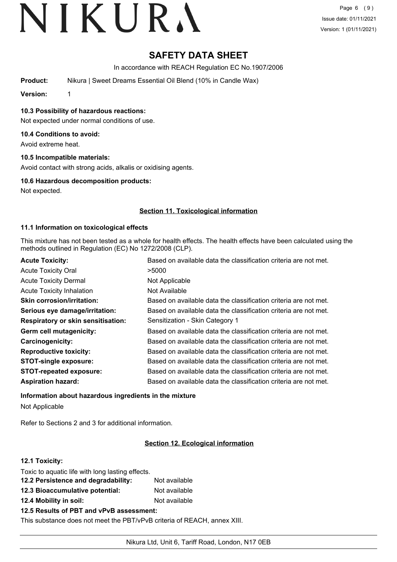# **SAFETY DATA SHEET**

In accordance with REACH Regulation EC No.1907/2006

**Product:** Nikura | Sweet Dreams Essential Oil Blend (10% in Candle Wax)

**Version:** 1

**10.3 Possibility of hazardous reactions:**

Not expected under normal conditions of use.

### **10.4 Conditions to avoid:**

Avoid extreme heat.

### **10.5 Incompatible materials:**

Avoid contact with strong acids, alkalis or oxidising agents.

### **10.6 Hazardous decomposition products:**

Not expected.

### **Section 11. Toxicological information**

### **11.1 Information on toxicological effects**

This mixture has not been tested as a whole for health effects. The health effects have been calculated using the methods outlined in Regulation (EC) No 1272/2008 (CLP).

| <b>Acute Toxicity:</b>                    | Based on available data the classification criteria are not met. |
|-------------------------------------------|------------------------------------------------------------------|
| <b>Acute Toxicity Oral</b>                | >5000                                                            |
| <b>Acute Toxicity Dermal</b>              | Not Applicable                                                   |
| <b>Acute Toxicity Inhalation</b>          | Not Available                                                    |
| <b>Skin corrosion/irritation:</b>         | Based on available data the classification criteria are not met. |
| Serious eye damage/irritation:            | Based on available data the classification criteria are not met. |
| <b>Respiratory or skin sensitisation:</b> | Sensitization - Skin Category 1                                  |
| Germ cell mutagenicity:                   | Based on available data the classification criteria are not met. |
| Carcinogenicity:                          | Based on available data the classification criteria are not met. |
| <b>Reproductive toxicity:</b>             | Based on available data the classification criteria are not met. |
| <b>STOT-single exposure:</b>              | Based on available data the classification criteria are not met. |
| <b>STOT-repeated exposure:</b>            | Based on available data the classification criteria are not met. |
| <b>Aspiration hazard:</b>                 | Based on available data the classification criteria are not met. |

# **Information about hazardous ingredients in the mixture** Not Applicable

Refer to Sections 2 and 3 for additional information.

# **Section 12. Ecological information**

### **12.1 Toxicity:**

| Toxic to aquatic life with long lasting effects. |               |  |
|--------------------------------------------------|---------------|--|
| 12.2 Persistence and degradability:              | Not available |  |
| 12.3 Bioaccumulative potential:                  | Not available |  |
| 12.4 Mobility in soil:                           | Not available |  |
| 12.5 Results of PBT and vPvB assessment:         |               |  |

This substance does not meet the PBT/vPvB criteria of REACH, annex XIII.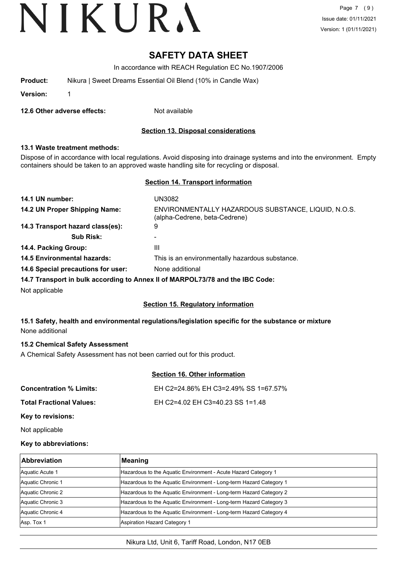# **SAFETY DATA SHEET**

In accordance with REACH Regulation EC No.1907/2006

| Product: | Nikura   Sweet Dreams Essential Oil Blend (10% in Candle Wax) |
|----------|---------------------------------------------------------------|
|----------|---------------------------------------------------------------|

**Version:** 1

**12.6 Other adverse effects:** Not available

### **Section 13. Disposal considerations**

#### **13.1 Waste treatment methods:**

Dispose of in accordance with local regulations. Avoid disposing into drainage systems and into the environment. Empty containers should be taken to an approved waste handling site for recycling or disposal.

#### **Section 14. Transport information**

| 14.1 UN number:                                                               | UN3082                                                                               |
|-------------------------------------------------------------------------------|--------------------------------------------------------------------------------------|
| 14.2 UN Proper Shipping Name:                                                 | ENVIRONMENTALLY HAZARDOUS SUBSTANCE, LIQUID, N.O.S.<br>(alpha-Cedrene, beta-Cedrene) |
| 14.3 Transport hazard class(es):                                              | 9                                                                                    |
| <b>Sub Risk:</b>                                                              | -                                                                                    |
| 14.4. Packing Group:                                                          | Ш                                                                                    |
| <b>14.5 Environmental hazards:</b>                                            | This is an environmentally hazardous substance.                                      |
| 14.6 Special precautions for user:                                            | None additional                                                                      |
| 14.7 Transport in bulk according to Annex II of MARPOL73/78 and the IBC Code: |                                                                                      |
| Not applicable                                                                |                                                                                      |

### **Section 15. Regulatory information**

# **15.1 Safety, health and environmental regulations/legislation specific for the substance or mixture** None additional

### **15.2 Chemical Safety Assessment**

A Chemical Safety Assessment has not been carried out for this product.

### **Section 16. Other information**

| <b>Concentration % Limits:</b> | EH C2=24.86% EH C3=2.49% SS 1=67.57% |
|--------------------------------|--------------------------------------|
| Total Fractional Values:       | EH C2=4.02 EH C3=40.23 SS 1=1.48     |
| Key to revisions:              |                                      |
| Not applicable                 |                                      |

#### **Key to abbreviations:**

| <b>Abbreviation</b> | Meaning                                                            |
|---------------------|--------------------------------------------------------------------|
| Aquatic Acute 1     | Hazardous to the Aquatic Environment - Acute Hazard Category 1     |
| Aquatic Chronic 1   | Hazardous to the Aquatic Environment - Long-term Hazard Category 1 |
| Aquatic Chronic 2   | Hazardous to the Aquatic Environment - Long-term Hazard Category 2 |
| Aquatic Chronic 3   | Hazardous to the Aquatic Environment - Long-term Hazard Category 3 |
| Aquatic Chronic 4   | Hazardous to the Aquatic Environment - Long-term Hazard Category 4 |
| Asp. Tox 1          | Aspiration Hazard Category 1                                       |

### Nikura Ltd, Unit 6, Tariff Road, London, N17 0EB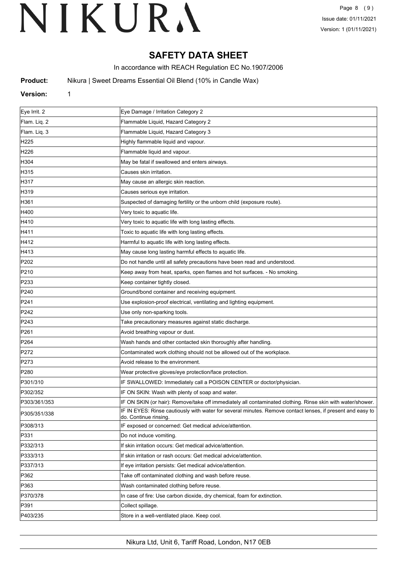# **SAFETY DATA SHEET**

In accordance with REACH Regulation EC No.1907/2006

**Product:** Nikura | Sweet Dreams Essential Oil Blend (10% in Candle Wax)

### **Version:** 1

| Eye Irrit. 2     | Eye Damage / Irritation Category 2                                                                                                  |
|------------------|-------------------------------------------------------------------------------------------------------------------------------------|
| Flam. Liq. 2     | Flammable Liquid, Hazard Category 2                                                                                                 |
| Flam. Liq. 3     | Flammable Liquid, Hazard Category 3                                                                                                 |
| H225             | Highly flammable liquid and vapour.                                                                                                 |
| H226             | Flammable liquid and vapour.                                                                                                        |
| H304             | May be fatal if swallowed and enters airways.                                                                                       |
| H315             | Causes skin irritation.                                                                                                             |
| H317             | May cause an allergic skin reaction.                                                                                                |
| H319             | Causes serious eye irritation.                                                                                                      |
| H361             | Suspected of damaging fertility or the unborn child (exposure route).                                                               |
| H400             | Very toxic to aquatic life.                                                                                                         |
| H410             | Very toxic to aquatic life with long lasting effects.                                                                               |
| H411             | Toxic to aquatic life with long lasting effects.                                                                                    |
| H412             | Harmful to aquatic life with long lasting effects.                                                                                  |
| H413             | May cause long lasting harmful effects to aquatic life.                                                                             |
| P202             | Do not handle until all safety precautions have been read and understood.                                                           |
| P210             | Keep away from heat, sparks, open flames and hot surfaces. - No smoking.                                                            |
| P233             | Keep container tightly closed.                                                                                                      |
| P240             | Ground/bond container and receiving equipment.                                                                                      |
| P241             | Use explosion-proof electrical, ventilating and lighting equipment.                                                                 |
| P242             | Use only non-sparking tools.                                                                                                        |
| P243             | Take precautionary measures against static discharge.                                                                               |
| P261             | Avoid breathing vapour or dust.                                                                                                     |
| P <sub>264</sub> | Wash hands and other contacted skin thoroughly after handling.                                                                      |
| P272             | Contaminated work clothing should not be allowed out of the workplace.                                                              |
| P273             | Avoid release to the environment.                                                                                                   |
| P280             | Wear protective gloves/eye protection/face protection.                                                                              |
| P301/310         | IF SWALLOWED: Immediately call a POISON CENTER or doctor/physician.                                                                 |
| P302/352         | IF ON SKIN: Wash with plenty of soap and water.                                                                                     |
| P303/361/353     | IF ON SKIN (or hair): Remove/take off immediately all contaminated clothing. Rinse skin with water/shower.                          |
| P305/351/338     | IF IN EYES: Rinse cautiously with water for several minutes. Remove contact lenses, if present and easy to<br>do. Continue rinsing. |
| P308/313         | IF exposed or concerned: Get medical advice/attention.                                                                              |
| P331             | Do not induce vomiting.                                                                                                             |
| P332/313         | If skin irritation occurs: Get medical advice/attention.                                                                            |
| P333/313         | If skin irritation or rash occurs: Get medical advice/attention.                                                                    |
| P337/313         | If eye irritation persists: Get medical advice/attention.                                                                           |
| P362             | Take off contaminated clothing and wash before reuse.                                                                               |
| P363             | Wash contaminated clothing before reuse.                                                                                            |
| P370/378         | In case of fire: Use carbon dioxide, dry chemical, foam for extinction.                                                             |
| P391             | Collect spillage.                                                                                                                   |
| P403/235         | Store in a well-ventilated place. Keep cool.                                                                                        |